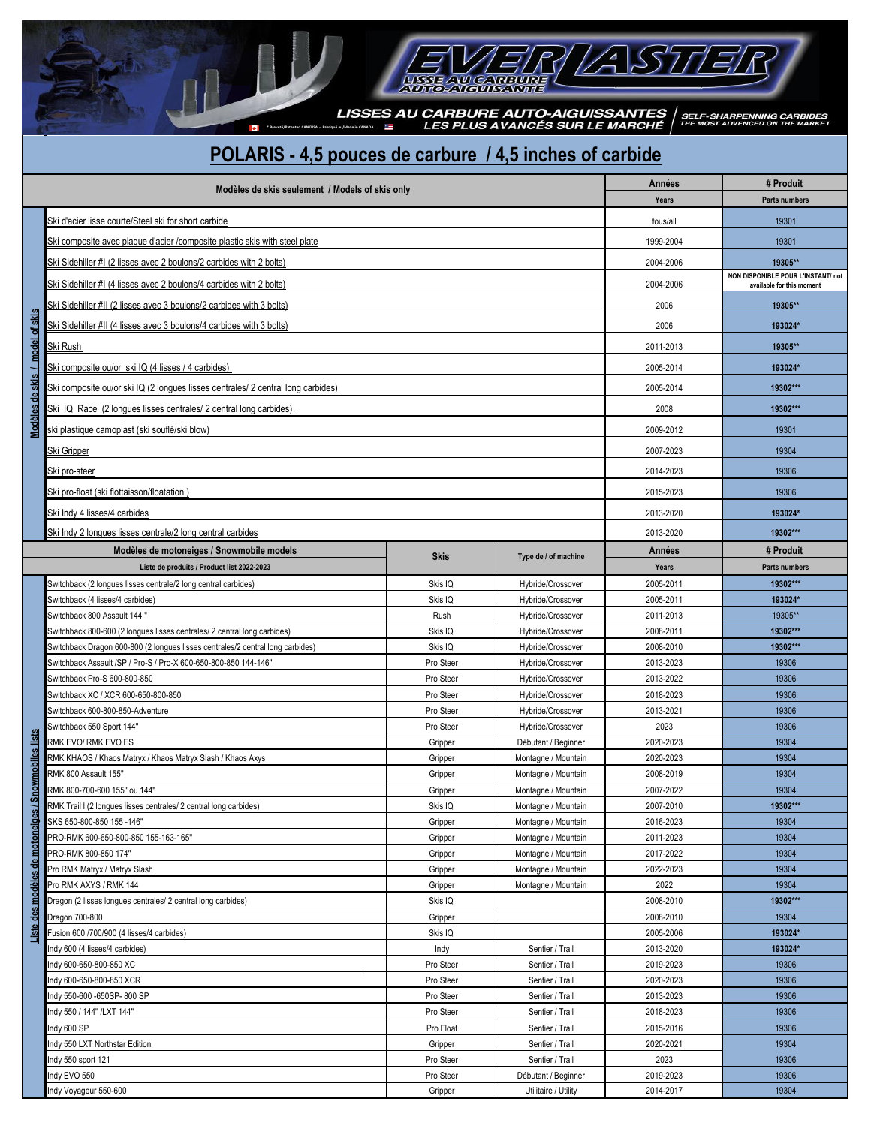**EXAMPLE AUTO-AIGUISSANTES**<br>LES PLUS AVANCÉS SUR LE MARCHÉ <sup>THE MOST ADVENCED ON THE MARKET</sup>

 $\checkmark$  $\mathbf{z}$ 

ς

 $E^\prime\hspace{-1mm}/R$  )

## **POLARIS - 4,5 pouces de carbure / 4,5 inches of carbide**

**LISSE AV CARBURE** 

|                                     | Modèles de skis seulement / Models of skis only                                         |                      |                                                                 | Années            | # Produit            |  |  |  |  |
|-------------------------------------|-----------------------------------------------------------------------------------------|----------------------|-----------------------------------------------------------------|-------------------|----------------------|--|--|--|--|
|                                     |                                                                                         |                      |                                                                 | Years             | <b>Parts numbers</b> |  |  |  |  |
|                                     | Ski d'acier lisse courte/Steel ski for short carbide                                    |                      |                                                                 | tous/all          | 19301                |  |  |  |  |
|                                     | Ski composite avec plaque d'acier /composite plastic skis with steel plate              | 1999-2004            | 19301                                                           |                   |                      |  |  |  |  |
|                                     | Ski Sidehiller #I (2 lisses avec 2 boulons/2 carbides with 2 bolts)                     | 2004-2006            | 19305**                                                         |                   |                      |  |  |  |  |
|                                     | Ski Sidehiller #I (4 lisses avec 2 boulons/4 carbides with 2 bolts)                     | 2004-2006            | NON DISPONIBLE POUR L'INSTANT/ not<br>available for this moment |                   |                      |  |  |  |  |
|                                     | Ski Sidehiller #II (2 lisses avec 3 boulons/2 carbides with 3 bolts)                    | 2006                 | 19305**                                                         |                   |                      |  |  |  |  |
|                                     |                                                                                         |                      |                                                                 |                   |                      |  |  |  |  |
| Modèles de skis / model of skis     | Ski Sidehiller #II (4 lisses avec 3 boulons/4 carbides with 3 bolts)                    | 2006                 | 193024*                                                         |                   |                      |  |  |  |  |
|                                     | Ski Rush                                                                                | 2011-2013            | 19305**                                                         |                   |                      |  |  |  |  |
|                                     | Ski composite ou/or ski IQ (4 lisses / 4 carbides)                                      | 2005-2014            | 193024*                                                         |                   |                      |  |  |  |  |
|                                     | Ski composite ou/or ski IQ (2 longues lisses centrales/ 2 central long carbides)        |                      |                                                                 | 2005-2014         | 19302***             |  |  |  |  |
|                                     | Ski IQ Race (2 longues lisses centrales/ 2 central long carbides)                       |                      |                                                                 | 2008              | 19302***             |  |  |  |  |
|                                     | ski plastique camoplast (ski souflé/ski blow)                                           |                      |                                                                 | 2009-2012         | 19301                |  |  |  |  |
|                                     | Ski Gripper                                                                             |                      |                                                                 | 2007-2023         | 19304                |  |  |  |  |
|                                     | Ski pro-steer                                                                           | 2014-2023            | 19306                                                           |                   |                      |  |  |  |  |
|                                     | Ski pro-float (ski flottaisson/floatation)                                              | 2015-2023            | 19306                                                           |                   |                      |  |  |  |  |
|                                     | Ski Indy 4 lisses/4 carbides                                                            | 2013-2020            | 193024*                                                         |                   |                      |  |  |  |  |
|                                     | Ski Indy 2 longues lisses centrale/2 long central carbides                              | 2013-2020            | 19302***                                                        |                   |                      |  |  |  |  |
|                                     |                                                                                         |                      |                                                                 |                   | # Produit            |  |  |  |  |
|                                     | Modèles de motoneiges / Snowmobile models<br>Liste de produits / Product list 2022-2023 | <b>Skis</b>          | Type de / of machine                                            | Années<br>Years   | <b>Parts numbers</b> |  |  |  |  |
|                                     | Switchback (2 longues lisses centrale/2 long central carbides)                          | Skis IQ              | Hybride/Crossover                                               | 2005-2011         | 19302***             |  |  |  |  |
|                                     | Switchback (4 lisses/4 carbides)                                                        | Skis IQ              | Hybride/Crossover                                               |                   | 193024*              |  |  |  |  |
|                                     |                                                                                         |                      |                                                                 | 2005-2011         |                      |  |  |  |  |
|                                     | Switchback 800 Assault 144 "                                                            | Rush                 | Hybride/Crossover                                               | 2011-2013         | 19305**              |  |  |  |  |
|                                     | Switchback 800-600 (2 longues lisses centrales/ 2 central long carbides)                | Skis IQ              | Hybride/Crossover                                               | 2008-2011         | 19302***             |  |  |  |  |
|                                     | Switchback Dragon 600-800 (2 longues lisses centrales/2 central long carbides)          | Skis IQ              | Hybride/Crossover                                               | 2008-2010         | 19302***             |  |  |  |  |
|                                     | Switchback Assault /SP / Pro-S / Pro-X 600-650-800-850 144-146"                         | Pro Steer            | Hybride/Crossover                                               | 2013-2023         | 19306                |  |  |  |  |
|                                     | Switchback Pro-S 600-800-850                                                            | Pro Steer            | Hybride/Crossover                                               | 2013-2022         | 19306                |  |  |  |  |
|                                     | Switchback XC / XCR 600-650-800-850                                                     | Pro Steer            | Hybride/Crossover                                               | 2018-2023         | 19306                |  |  |  |  |
|                                     | Switchback 600-800-850-Adventure                                                        | Pro Steer            | Hybride/Crossover                                               | 2013-2021         | 19306                |  |  |  |  |
|                                     | Switchback 550 Sport 144"                                                               | Pro Steer            | Hybride/Crossover                                               | 2023              | 19306                |  |  |  |  |
| snowmobiles lists                   | RMK EVO/ RMK EVO ES                                                                     | Gripper              | Débutant / Beginner                                             | 2020-2023         | 19304                |  |  |  |  |
|                                     | RMK KHAOS / Khaos Matryx / Khaos Matryx Slash / Khaos Axys                              | Gripper              | Montagne / Mountain                                             | 2020-2023         | 19304                |  |  |  |  |
|                                     | RMK 800 Assault 155"                                                                    | Gripper              | Montagne / Mountain                                             | 2008-2019         | 19304                |  |  |  |  |
|                                     | RMK 800-700-600 155" ou 144"                                                            | Gripper              | Montagne / Mountain                                             | 2007-2022         | 19304                |  |  |  |  |
|                                     | RMK Trail I (2 longues lisses centrales/ 2 central long carbides)                       | Skis IQ              | Montagne / Mountain                                             | 2007-2010         | 19302***             |  |  |  |  |
| Liste des modèles de motoneiges / 5 | SKS 650-800-850 155 -146"                                                               | Gripper              | Montagne / Mountain                                             | 2016-2023         | 19304                |  |  |  |  |
|                                     | PRO-RMK 600-650-800-850 155-163-165"                                                    | Gripper              | Montagne / Mountain                                             | 2011-2023         | 19304                |  |  |  |  |
|                                     | PRO-RMK 800-850 174"                                                                    | Gripper              | Montagne / Mountain                                             | 2017-2022         | 19304                |  |  |  |  |
|                                     | Pro RMK Matryx / Matryx Slash                                                           | Gripper              | Montagne / Mountain                                             | 2022-2023         | 19304                |  |  |  |  |
|                                     | Pro RMK AXYS / RMK 144                                                                  | Gripper              | Montagne / Mountain                                             | 2022              | 19304                |  |  |  |  |
|                                     | Dragon (2 lisses longues centrales/ 2 central long carbides)                            | Skis IQ              |                                                                 | 2008-2010         | 19302***             |  |  |  |  |
|                                     | Dragon 700-800                                                                          | Gripper              |                                                                 | 2008-2010         | 19304                |  |  |  |  |
|                                     | -usion 600 /700/900 (4 lisses/4 carbides)                                               | Skis IQ              |                                                                 | 2005-2006         | 193024*              |  |  |  |  |
|                                     | Indy 600 (4 lisses/4 carbides)                                                          | Indy                 | Sentier / Trail                                                 | 2013-2020         | 193024*              |  |  |  |  |
|                                     | Indy 600-650-800-850 XC                                                                 | Pro Steer            | Sentier / Trail                                                 | 2019-2023         | 19306                |  |  |  |  |
|                                     | Indy 600-650-800-850 XCR                                                                | Pro Steer            | Sentier / Trail                                                 | 2020-2023         | 19306                |  |  |  |  |
|                                     | ndy 550-600 -650SP- 800 SP                                                              | Pro Steer            | Sentier / Trail                                                 | 2013-2023         | 19306                |  |  |  |  |
|                                     |                                                                                         |                      |                                                                 |                   |                      |  |  |  |  |
|                                     | Indy 550 / 144" /LXT 144"                                                               | Pro Steer            | Sentier / Trail                                                 | 2018-2023         | 19306                |  |  |  |  |
|                                     | Indy 600 SP                                                                             | Pro Float            | Sentier / Trail                                                 | 2015-2016         | 19306                |  |  |  |  |
|                                     | Indy 550 LXT Northstar Edition<br>Indy 550 sport 121                                    | Gripper<br>Pro Steer | Sentier / Trail<br>Sentier / Trail                              | 2020-2021<br>2023 | 19304<br>19306       |  |  |  |  |
|                                     | Indy EVO 550                                                                            | Pro Steer            | Débutant / Beginner                                             | 2019-2023         | 19306                |  |  |  |  |
|                                     | Indy Voyageur 550-600                                                                   | Gripper              | Utilitaire / Utility                                            | 2014-2017         | 19304                |  |  |  |  |
|                                     |                                                                                         |                      |                                                                 |                   |                      |  |  |  |  |